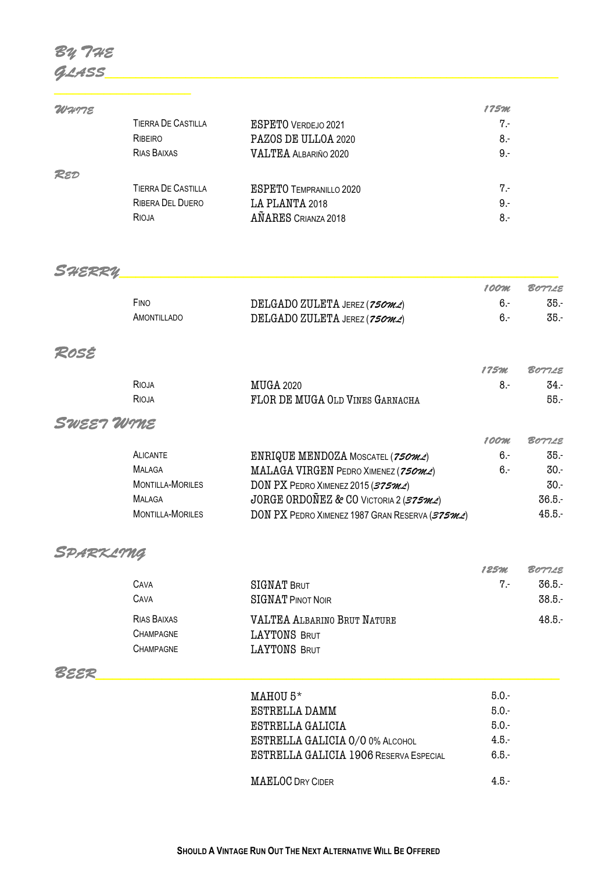# *BY THE GLASS\_\_\_\_\_\_\_\_\_\_\_\_\_\_\_\_\_\_\_\_\_\_\_\_\_\_\_\_\_\_\_\_\_\_\_\_\_\_\_\_\_\_\_\_\_\_\_\_\_\_\_\_\_\_\_\_\_\_\_\_\_\_\_\_\_\_\_\_\_\_\_\_\_*

*\_\_\_\_\_\_\_\_\_\_\_\_\_\_\_\_\_\_\_\_\_\_* 

| WHTTE |                           |                                | 175M |
|-------|---------------------------|--------------------------------|------|
|       | <b>TIERRA DE CASTILLA</b> | <b>ESPETO VERDEJO 2021</b>     | 7.-  |
|       | RIBEIRO                   | PAZOS DE ULLOA 2020            | 8.-  |
|       | RIAS BAIXAS               | <b>VALTEA ALBARIÑO 2020</b>    | 9.-  |
| RED   |                           |                                |      |
|       | <b>TIERRA DE CASTILLA</b> | <b>ESPETO TEMPRANILLO 2020</b> | 7.-  |
|       | RIBERA DEL DUERO          | LA PLANTA 2018                 | 9.-  |
|       | RIOJA                     | AÑARES CRIANZA 2018            | 8.-  |

## *SHERRY\_\_\_\_\_\_\_\_\_\_\_\_\_\_\_\_\_\_\_\_\_\_\_\_\_\_\_\_\_\_\_\_\_\_\_\_\_\_\_\_\_\_\_\_\_\_\_\_\_\_\_\_\_*

|             |                                                  | 100m | <b>BOT7LE</b> |
|-------------|--------------------------------------------------|------|---------------|
| FINO        | DELGADO ZULETA JEREZ (750 $m$ $\triangle$ )      | ჩ -  | 35.-          |
| AMONTILLADO | DELGADO ZULETA JEREZ (750 $m$ $\measuredangle$ ) | ჩ -  | 35.-          |

#### *ROSÉ*

|       |                                 | 175M | <b>BOT7LE</b> |
|-------|---------------------------------|------|---------------|
| RIOJA | <b>MUGA 2020</b>                |      | -34           |
| RIOJA | FLOR DE MUGA OLD VINES GARNACHA |      | 55.           |

## *SWEET WINE*

|                         |                                                | 1 00 M | <b>BOTTLE</b> |
|-------------------------|------------------------------------------------|--------|---------------|
| <b>ALICANTE</b>         | ENRIQUE MENDOZA MOSCATEL (750m2)               | $6-$   | 35.-          |
| <b>MALAGA</b>           | MALAGA VIRGEN PEDRO XIMENEZ ( $750m2$ )        | $6-$   | $30-$         |
| <b>MONTILLA-MORILES</b> | DON PX PEDRO XIMENEZ 2015 ( $375m2$ )          |        | $30-$         |
| <b>MALAGA</b>           | JORGE ORDOÑEZ & CO VICTORIA 2 (375 $m$ 2)      |        | 36.5.         |
| <b>MONTILLA-MORILES</b> | DON PX PEDRO XIMENEZ 1987 GRAN RESERVA (375MZ) |        | 45.5.         |
|                         |                                                |        |               |

## *SPARKLING*

|                  |                                    | 125m  | <b>BOTTLE</b> |
|------------------|------------------------------------|-------|---------------|
| CAVA             | SIGNAT BRUT                        | $7 -$ | 36.5.         |
| CAVA             | <b>SIGNAT PINOT NOIR</b>           |       | $38.5 -$      |
| RIAS BAIXAS      | <b>VALTEA ALBARINO BRUT NATURE</b> |       | 48.5.         |
| <b>CHAMPAGNE</b> | LAYTONS BRUT                       |       |               |
| Champagne        | LAYTONS BRUT                       |       |               |

## *BEER\_\_\_\_\_\_\_\_\_\_\_\_\_\_\_\_\_\_\_\_\_\_\_\_\_\_\_\_\_\_\_\_\_\_\_\_\_\_\_\_\_\_\_\_\_\_\_\_\_\_\_\_\_\_\_\_*

| $MAHOU 5*$                                    | $5.0 -$ |
|-----------------------------------------------|---------|
| <b>ESTRELLA DAMM</b>                          | $5.0 -$ |
| ESTRELLA GALICIA                              | $5.0 -$ |
| <b>ESTRELLA GALICIA 0/0 0% ALCOHOL</b>        | $4.5 -$ |
| <b>ESTRELLA GALICIA 1906 RESERVA ESPECIAL</b> | $6.5 -$ |
| <b>MAELOC DRY CIDER</b>                       | $4.5 -$ |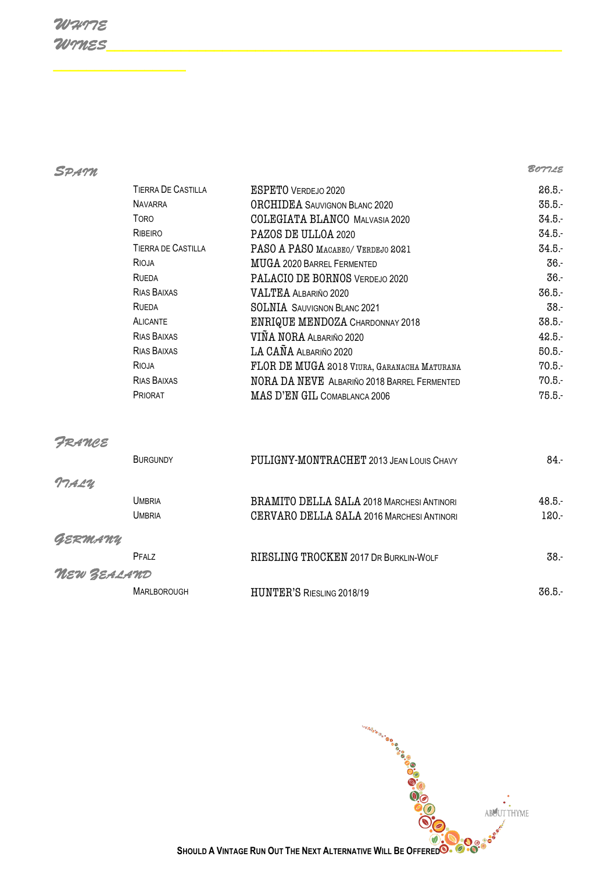# *WHITE WINES\_\_\_\_\_\_\_\_\_\_\_\_\_\_\_\_\_\_\_\_\_\_\_\_\_\_\_\_\_\_\_\_\_\_\_\_\_\_\_\_\_\_\_\_\_\_\_\_\_\_\_\_\_\_\_*

*\_\_\_\_\_\_\_\_\_\_\_\_\_\_\_\_*

*SPAIN BOTTLE* 

| <b>TIERRA DE CASTILLA</b> | <b>ESPETO VERDEJO 2020</b>                         | 26.5.    |
|---------------------------|----------------------------------------------------|----------|
| <b>NAVARRA</b>            | <b>ORCHIDEA</b> SAUVIGNON BLANC 2020               | 35.5.    |
| <b>TORO</b>               | <b>COLEGIATA BLANCO MALVASIA 2020</b>              | 34.5.    |
| RIBEIRO                   | PAZOS DE ULLOA 2020                                | 34.5.    |
| <b>TIERRA DE CASTILLA</b> | PASO A PASO MACABEO/ VERDEJO 2021                  | 34.5.    |
| RIOJA                     | MUGA 2020 BARREL FERMENTED                         | $36-$    |
| RUEDA                     | PALACIO DE BORNOS VERDEJO 2020                     | $36-$    |
| RIAS BAIXAS               | <b>VALTEA ALBARIÑO 2020</b>                        | 36.5.    |
| RUEDA                     | <b>SOLNIA</b> SAUVIGNON BLANC 2021                 | $38-$    |
| <b>ALICANTE</b>           | <b>ENRIQUE MENDOZA CHARDONNAY 2018</b>             | 38.5.    |
| RIAS BAIXAS               | VIÑA NORA ALBARIÑO 2020                            | 42.5.    |
| RIAS BAIXAS               | LA CAÑA ALBARIÑO 2020                              | $50.5 -$ |
| RIOJA                     | FLOR DE MUGA 2018 VIURA, GARANACHA MATURANA        | 70.5.    |
| RIAS BAIXAS               | <b>NORA DA NEVE ALBARIÑO 2018 BARREL FERMENTED</b> | 70.5.    |
| <b>PRIORAT</b>            | MAS D'EN GIL COMABLANCA 2006                       | $75.5 -$ |
|                           |                                                    |          |

#### *FRANCE*

|             | <b>BURGUNDY</b>    | PULIGNY-MONTRACHET 2013 JEAN LOUIS CHAVY         | $84 -$   |
|-------------|--------------------|--------------------------------------------------|----------|
| TTALU       |                    |                                                  |          |
|             | Umbria             | <b>BRAMITO DELLA SALA 2018 MARCHESI ANTINORI</b> | $48.5 -$ |
|             | Umbria             | CERVARO DELLA SALA 2016 MARCHESI ANTINORI        | $120 -$  |
| GERMANY     |                    |                                                  |          |
|             | PFAI <sub>7</sub>  | RIESLING TROCKEN 2017 DR BURKLIN-WOLF            | $38 -$   |
| NEW ZEALAND |                    |                                                  |          |
|             | <b>MARLBOROUGH</b> | <b>HUNTER'S RIESLING 2018/19</b>                 | $36.5 -$ |

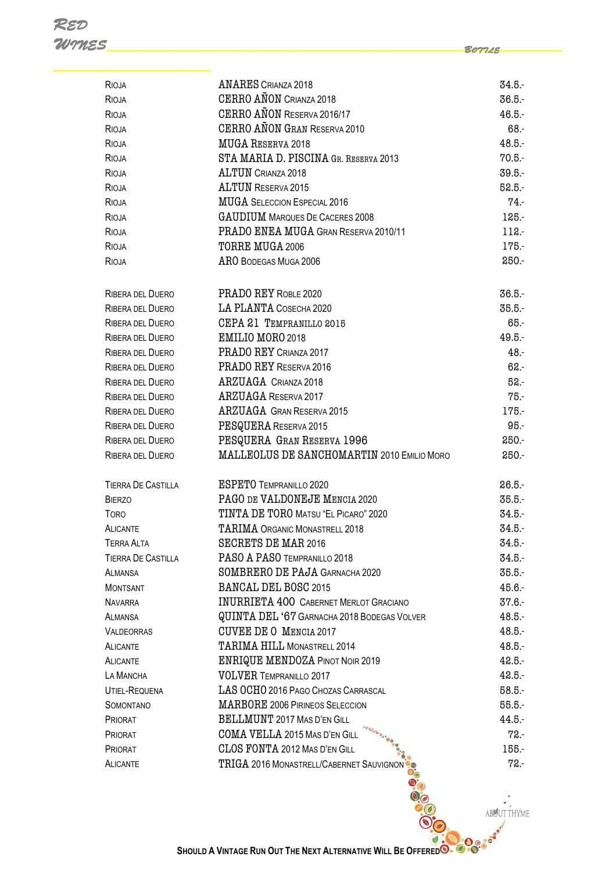*\_\_\_\_\_\_\_\_\_\_\_\_\_\_\_\_\_\_\_* RIOJA ANARES CRIANZA 2018 34.5.- RIOJA CERRO AÑON CRIANZA 2018 **36.5.**- $R_{\text{IO,IA}}$   $R_{\text{F}}$   $R_{\text{F}}$   $R_{\text{I}}$   $R_{\text{I}}$   $R_{\text{I}}$   $R_{\text{I}}$   $R_{\text{I}}$   $R_{\text{I}}$   $R_{\text{I}}$   $R_{\text{I}}$   $R_{\text{I}}$   $R_{\text{I}}$   $R_{\text{I}}$   $R_{\text{I}}$   $R_{\text{I}}$   $R_{\text{I}}$   $R_{\text{I}}$   $R_{\text{I}}$   $R_{\text{I}}$   $R_{\text{I}}$   $R_{\text{I}}$ RIOJA CERRO AÑON GRAN RESERVA 2010 68. RIOJA **MUGA RESERVA 2018 18.5.-**RIOJA STA MARIA D. PISCINA GR. RESERVA 2013 70.5.-RIOJA **ALTUN** CRIANZA 2018 **39.5.**-RIOJA BR.5.-RIOJA **MUGA** SELECCION ESPECIAL 2016 RIOJA GAUDIUM MARQUES DE CACERES 2008 125.-RIOJA PRADO ENEA MUGA GRAN RESERVA 2010/11 112. RIOJA TORRE MUGA 2006 175. RIOJA RIO BODEGAS MUGA 2006 2006 250.-RIBERA DEL DUERO PRADO REY ROBLE 2020 36.5.-RIBERA DEL DUERO LA PLANTA COSECHA 2020 35.5.-RIBERA DEL DUERO CEPA 21 TEMPRANILLO 2015 65.- RIBERA DEL DUERO **EMILIO MORO 2018** 49.5. RIBERA DEL DUERO PRADO REY CRIANZA 2017 48.- RIBERA DEL DUERO PRADO REY RESERVA 2016 **1990 - PRADO REY RESERVA 2016** 62.-RIBERA DEL DUERO ARZUAGA CRIANZA 2018 52.- RIBERA DEL DUERO ARZUAGA RESERVA 2017 75.- RIBERA DEL DUERO **ARZUAGA GRAN RESERVA 2015** 175. RIBERA DEL DUERO PESQUERA RESERVA 2015 **1988**. RIBERA DEL DUERO PESQUERA GRAN RESERVA 1996 **250.** RIBERA DEL DUERO MALLEOLUS DE SANCHOMARTIN 2010 EMILIO MORO 250. TIERRA DE CASTILLA ESPETO TEMPRANILLO 2020 26.5.- BIERZO **PAGO DE VALDONEJE MENCIA 2020** 35.5.-TORO TINTA DE TORO MATSU "EL PICARO" 2020 34.5.- ALICANTE TARIMA ORGANIC MONASTRELL 2018 TERRA ALTA SECRETS DE MAR 2016 34.5.- TIERRA DE CASTILLA PASO A PASO TEMPRANILLO 2018 ALMANSA SOMBRERO DE PAJA GARNACHA 2020 35.5.-MONTSANT BANCAL DEL BOSC 2015 25. ASSEMBLY 25.6.-NAVARRA INURRIETA 400 CABERNET MERLOT GRACIANO 37.6.-ALMANSA **QUINTA DEL '67 GARNACHA 2018 BODEGAS VOLVER** 48.5. VALDEORRAS CUVEE DE O MENCIA 2017 48.5.- ALICANTE TARIMA HILL MONASTRELL 2014 ALICANTE ENRIQUE MENDOZA PINOT NOIR 2019 42.5.- LA MANCHA VOLVER TEMPRANILLO 2017 42.5.- UTIEL-REQUENA LAS OCHO 2016 PAGO CHOZAS CARRASCAL 58.5.-SOMONTANO **MARBORE 2006 PIRINEOS SELECCION** 55.5.-PRIORAT BELLMUNT 2017 MAS D'EN GILL 44.5.- PRIORAT COMA VELLA 2015 MAS D'EN GILL 72.- PRIORAT CLOS FONTA 2012 MAS D'EN GILL <sup>15</sup>. ALICANTE TRIGA 2016 MONASTRELL/CABERNET SAUVIGNON<sup>1</sup> 1

*WINES\_\_\_\_\_\_\_\_\_\_\_\_\_\_\_\_\_\_\_\_\_\_\_\_\_\_\_\_\_\_\_\_\_\_\_\_\_\_\_\_\_\_\_\_\_\_\_\_\_\_\_\_\_\_\_*

*BOTTLE*

**BUUT THYME** 

*RED* 

**SHOULD A VINTAGE RUN OUT THE NEXT ALTERNATIVE WILL BE OFFERED**